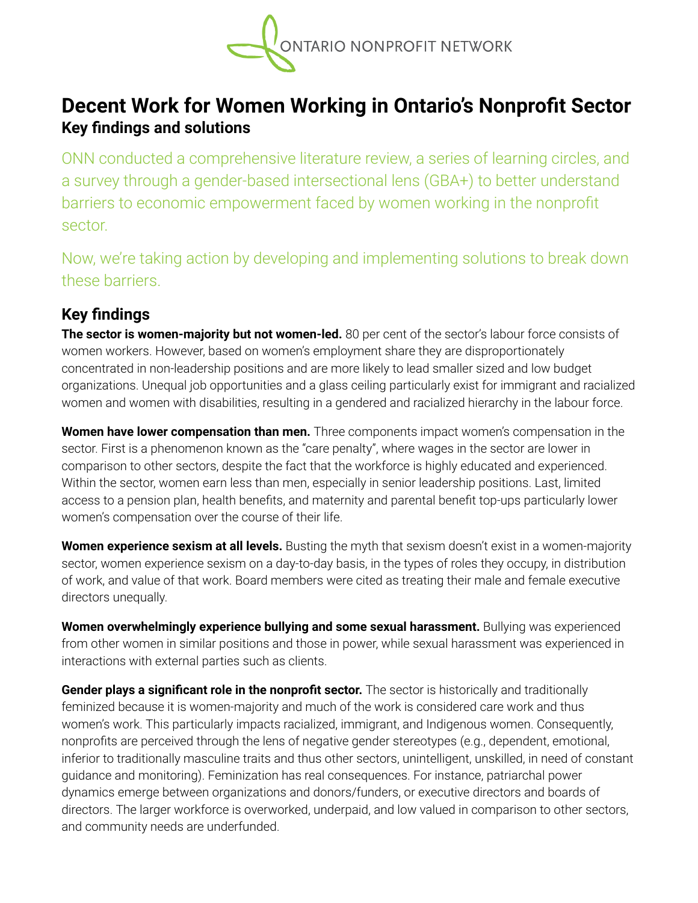

## **Decent Work for Women Working in Ontario's Nonprofit Sector Key findings and solutions**

ONN conducted a comprehensive literature review, a series of learning circles, and a survey through a gender-based intersectional lens (GBA+) to better understand barriers to economic empowerment faced by women working in the nonprofit sector.

Now, we're taking action by developing and implementing solutions to break down these barriers.

## **Key findings**

**The sector is women-majority but not women-led.** 80 per cent of the sector's labour force consists of women workers. However, based on women's employment share they are disproportionately concentrated in non-leadership positions and are more likely to lead smaller sized and low budget organizations. Unequal job opportunities and a glass ceiling particularly exist for immigrant and racialized women and women with disabilities, resulting in a gendered and racialized hierarchy in the labour force.

**Women have lower compensation than men.** Three components impact women's compensation in the sector. First is a phenomenon known as the "care penalty", where wages in the sector are lower in comparison to other sectors, despite the fact that the workforce is highly educated and experienced. Within the sector, women earn less than men, especially in senior leadership positions. Last, limited access to a pension plan, health benefits, and maternity and parental benefit top-ups particularly lower women's compensation over the course of their life.

**Women experience sexism at all levels.** Busting the myth that sexism doesn't exist in a women-majority sector, women experience sexism on a day-to-day basis, in the types of roles they occupy, in distribution of work, and value of that work. Board members were cited as treating their male and female executive directors unequally.

**Women overwhelmingly experience bullying and some sexual harassment.** Bullying was experienced from other women in similar positions and those in power, while sexual harassment was experienced in interactions with external parties such as clients.

**Gender plays a significant role in the nonprofit sector.** The sector is historically and traditionally feminized because it is women-majority and much of the work is considered care work and thus women's work. This particularly impacts racialized, immigrant, and Indigenous women. Consequently, nonprofits are perceived through the lens of negative gender stereotypes (e.g., dependent, emotional, inferior to traditionally masculine traits and thus other sectors, unintelligent, unskilled, in need of constant guidance and monitoring). Feminization has real consequences. For instance, patriarchal power dynamics emerge between organizations and donors/funders, or executive directors and boards of directors. The larger workforce is overworked, underpaid, and low valued in comparison to other sectors, and community needs are underfunded.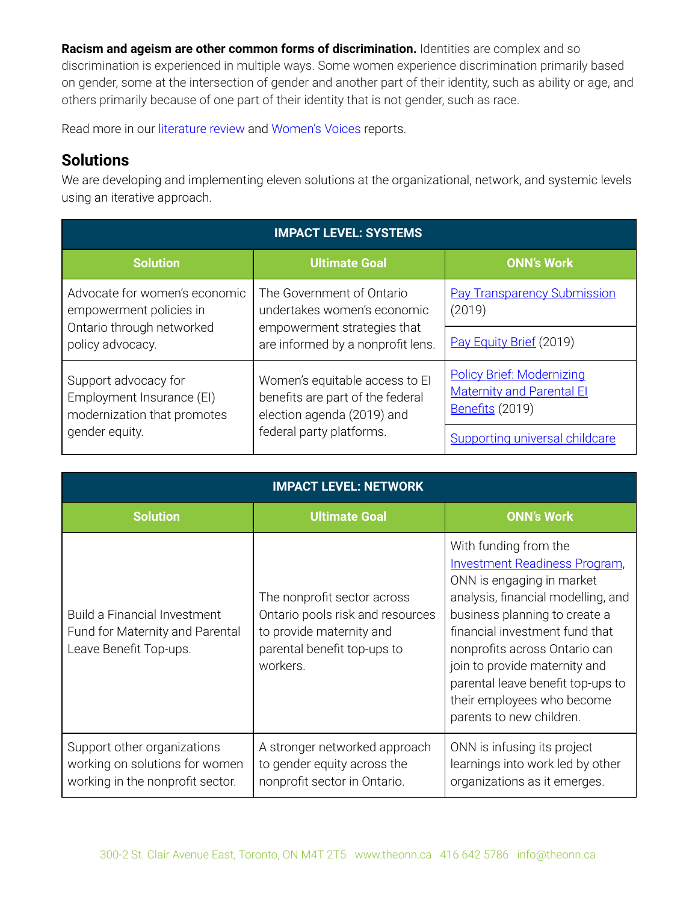**Racism and ageism are other common forms of discrimination.** Identities are complex and so discrimination is experienced in multiple ways. Some women experience discrimination primarily based on gender, some at the intersection of gender and another part of their identity, such as ability or age, and others primarily because of one part of their identity that is not gender, such as race.

Read more in our literature review and Women's Voices reports.

## **Solutions**

We are developing and implementing eleven solutions at the organizational, network, and systemic levels using an iterative approach.

| <b>IMPACT LEVEL: SYSTEMS</b>                                                                              |                                                                                                                              |                                                                                         |  |  |
|-----------------------------------------------------------------------------------------------------------|------------------------------------------------------------------------------------------------------------------------------|-----------------------------------------------------------------------------------------|--|--|
| <b>Solution</b>                                                                                           | <b>Ultimate Goal</b>                                                                                                         | <b>ONN's Work</b>                                                                       |  |  |
| Advocate for women's economic<br>empowerment policies in<br>Ontario through networked<br>policy advocacy. | The Government of Ontario<br>undertakes women's economic                                                                     | <b>Pay Transparency Submission</b><br>(2019)                                            |  |  |
|                                                                                                           | empowerment strategies that<br>are informed by a nonprofit lens.                                                             | Pay Equity Brief (2019)                                                                 |  |  |
| Support advocacy for<br>Employment Insurance (EI)<br>modernization that promotes<br>gender equity.        | Women's equitable access to El<br>benefits are part of the federal<br>election agenda (2019) and<br>federal party platforms. | <b>Policy Brief: Modernizing</b><br><b>Maternity and Parental El</b><br>Benefits (2019) |  |  |
|                                                                                                           |                                                                                                                              | Supporting universal childcare                                                          |  |  |

| <b>IMPACT LEVEL: NETWORK</b>                                                                      |                                                                                                                                        |                                                                                                                                                                                                                                                                                                                                                                      |  |  |
|---------------------------------------------------------------------------------------------------|----------------------------------------------------------------------------------------------------------------------------------------|----------------------------------------------------------------------------------------------------------------------------------------------------------------------------------------------------------------------------------------------------------------------------------------------------------------------------------------------------------------------|--|--|
| <b>Solution</b>                                                                                   | <b>Ultimate Goal</b>                                                                                                                   | <b>ONN's Work</b>                                                                                                                                                                                                                                                                                                                                                    |  |  |
| <b>Build a Financial Investment</b><br>Fund for Maternity and Parental<br>Leave Benefit Top-ups.  | The nonprofit sector across<br>Ontario pools risk and resources<br>to provide maternity and<br>parental benefit top-ups to<br>workers. | With funding from the<br><b>Investment Readiness Program,</b><br>ONN is engaging in market<br>analysis, financial modelling, and<br>business planning to create a<br>financial investment fund that<br>nonprofits across Ontario can<br>join to provide maternity and<br>parental leave benefit top-ups to<br>their employees who become<br>parents to new children. |  |  |
| Support other organizations<br>working on solutions for women<br>working in the nonprofit sector. | A stronger networked approach<br>to gender equity across the<br>nonprofit sector in Ontario.                                           | ONN is infusing its project<br>learnings into work led by other<br>organizations as it emerges.                                                                                                                                                                                                                                                                      |  |  |